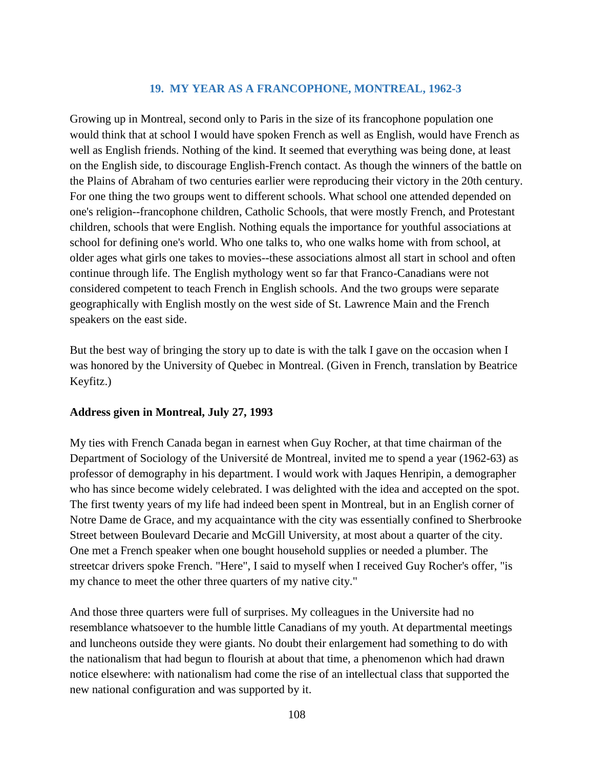## **19. MY YEAR AS A FRANCOPHONE, MONTREAL, 1962-3**

Growing up in Montreal, second only to Paris in the size of its francophone population one would think that at school I would have spoken French as well as English, would have French as well as English friends. Nothing of the kind. It seemed that everything was being done, at least on the English side, to discourage English-French contact. As though the winners of the battle on the Plains of Abraham of two centuries earlier were reproducing their victory in the 20th century. For one thing the two groups went to different schools. What school one attended depended on one's religion--francophone children, Catholic Schools, that were mostly French, and Protestant children, schools that were English. Nothing equals the importance for youthful associations at school for defining one's world. Who one talks to, who one walks home with from school, at older ages what girls one takes to movies--these associations almost all start in school and often continue through life. The English mythology went so far that Franco-Canadians were not considered competent to teach French in English schools. And the two groups were separate geographically with English mostly on the west side of St. Lawrence Main and the French speakers on the east side.

But the best way of bringing the story up to date is with the talk I gave on the occasion when I was honored by the University of Quebec in Montreal. (Given in French, translation by Beatrice Keyfitz.)

## **Address given in Montreal, July 27, 1993**

My ties with French Canada began in earnest when Guy Rocher, at that time chairman of the Department of Sociology of the Université de Montreal, invited me to spend a year (1962-63) as professor of demography in his department. I would work with Jaques Henripin, a demographer who has since become widely celebrated. I was delighted with the idea and accepted on the spot. The first twenty years of my life had indeed been spent in Montreal, but in an English corner of Notre Dame de Grace, and my acquaintance with the city was essentially confined to Sherbrooke Street between Boulevard Decarie and McGill University, at most about a quarter of the city. One met a French speaker when one bought household supplies or needed a plumber. The streetcar drivers spoke French. "Here", I said to myself when I received Guy Rocher's offer, "is my chance to meet the other three quarters of my native city."

And those three quarters were full of surprises. My colleagues in the Universite had no resemblance whatsoever to the humble little Canadians of my youth. At departmental meetings and luncheons outside they were giants. No doubt their enlargement had something to do with the nationalism that had begun to flourish at about that time, a phenomenon which had drawn notice elsewhere: with nationalism had come the rise of an intellectual class that supported the new national configuration and was supported by it.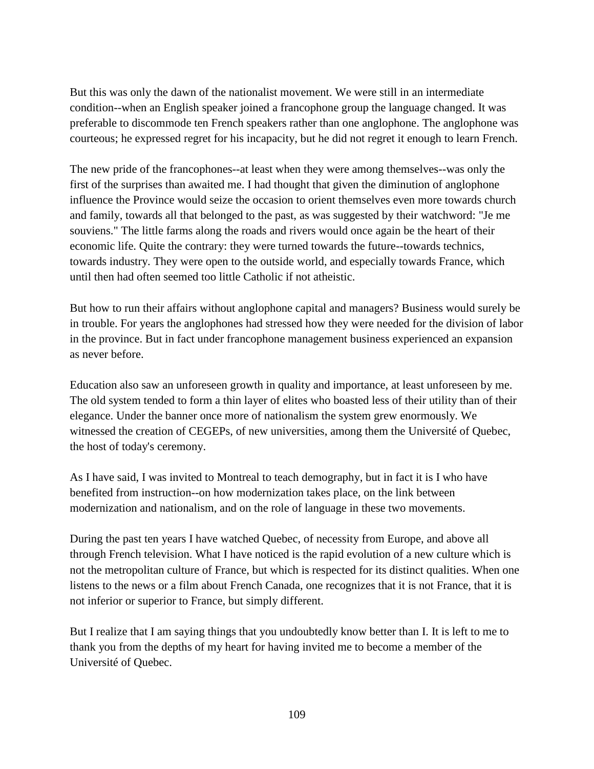But this was only the dawn of the nationalist movement. We were still in an intermediate condition--when an English speaker joined a francophone group the language changed. It was preferable to discommode ten French speakers rather than one anglophone. The anglophone was courteous; he expressed regret for his incapacity, but he did not regret it enough to learn French.

The new pride of the francophones--at least when they were among themselves--was only the first of the surprises than awaited me. I had thought that given the diminution of anglophone influence the Province would seize the occasion to orient themselves even more towards church and family, towards all that belonged to the past, as was suggested by their watchword: "Je me souviens." The little farms along the roads and rivers would once again be the heart of their economic life. Quite the contrary: they were turned towards the future--towards technics, towards industry. They were open to the outside world, and especially towards France, which until then had often seemed too little Catholic if not atheistic.

But how to run their affairs without anglophone capital and managers? Business would surely be in trouble. For years the anglophones had stressed how they were needed for the division of labor in the province. But in fact under francophone management business experienced an expansion as never before.

Education also saw an unforeseen growth in quality and importance, at least unforeseen by me. The old system tended to form a thin layer of elites who boasted less of their utility than of their elegance. Under the banner once more of nationalism the system grew enormously. We witnessed the creation of CEGEPs, of new universities, among them the Université of Quebec, the host of today's ceremony.

As I have said, I was invited to Montreal to teach demography, but in fact it is I who have benefited from instruction--on how modernization takes place, on the link between modernization and nationalism, and on the role of language in these two movements.

During the past ten years I have watched Quebec, of necessity from Europe, and above all through French television. What I have noticed is the rapid evolution of a new culture which is not the metropolitan culture of France, but which is respected for its distinct qualities. When one listens to the news or a film about French Canada, one recognizes that it is not France, that it is not inferior or superior to France, but simply different.

But I realize that I am saying things that you undoubtedly know better than I. It is left to me to thank you from the depths of my heart for having invited me to become a member of the Université of Quebec.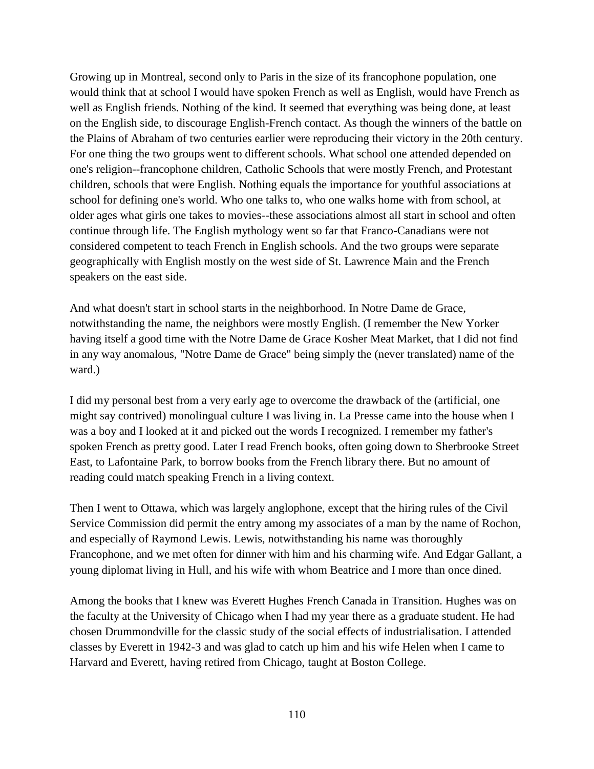Growing up in Montreal, second only to Paris in the size of its francophone population, one would think that at school I would have spoken French as well as English, would have French as well as English friends. Nothing of the kind. It seemed that everything was being done, at least on the English side, to discourage English-French contact. As though the winners of the battle on the Plains of Abraham of two centuries earlier were reproducing their victory in the 20th century. For one thing the two groups went to different schools. What school one attended depended on one's religion--francophone children, Catholic Schools that were mostly French, and Protestant children, schools that were English. Nothing equals the importance for youthful associations at school for defining one's world. Who one talks to, who one walks home with from school, at older ages what girls one takes to movies--these associations almost all start in school and often continue through life. The English mythology went so far that Franco-Canadians were not considered competent to teach French in English schools. And the two groups were separate geographically with English mostly on the west side of St. Lawrence Main and the French speakers on the east side.

And what doesn't start in school starts in the neighborhood. In Notre Dame de Grace, notwithstanding the name, the neighbors were mostly English. (I remember the New Yorker having itself a good time with the Notre Dame de Grace Kosher Meat Market, that I did not find in any way anomalous, "Notre Dame de Grace" being simply the (never translated) name of the ward.)

I did my personal best from a very early age to overcome the drawback of the (artificial, one might say contrived) monolingual culture I was living in. La Presse came into the house when I was a boy and I looked at it and picked out the words I recognized. I remember my father's spoken French as pretty good. Later I read French books, often going down to Sherbrooke Street East, to Lafontaine Park, to borrow books from the French library there. But no amount of reading could match speaking French in a living context.

Then I went to Ottawa, which was largely anglophone, except that the hiring rules of the Civil Service Commission did permit the entry among my associates of a man by the name of Rochon, and especially of Raymond Lewis. Lewis, notwithstanding his name was thoroughly Francophone, and we met often for dinner with him and his charming wife. And Edgar Gallant, a young diplomat living in Hull, and his wife with whom Beatrice and I more than once dined.

Among the books that I knew was Everett Hughes French Canada in Transition. Hughes was on the faculty at the University of Chicago when I had my year there as a graduate student. He had chosen Drummondville for the classic study of the social effects of industrialisation. I attended classes by Everett in 1942-3 and was glad to catch up him and his wife Helen when I came to Harvard and Everett, having retired from Chicago, taught at Boston College.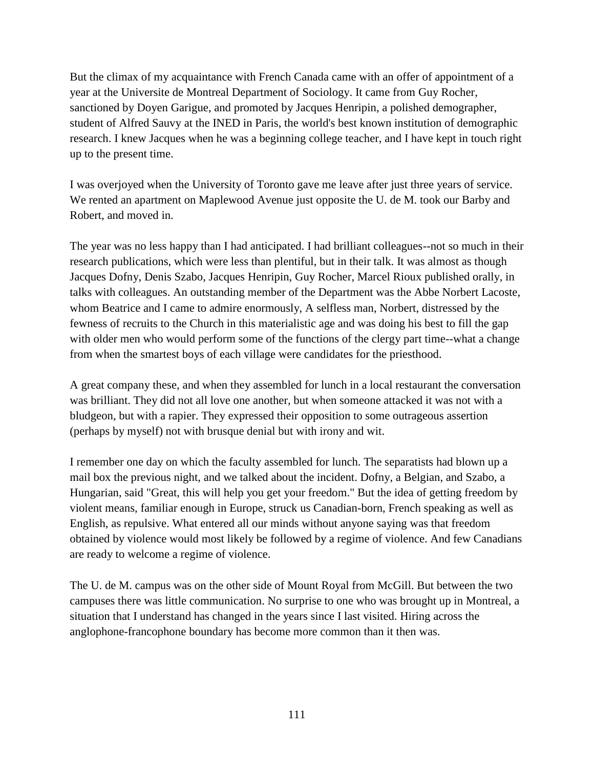But the climax of my acquaintance with French Canada came with an offer of appointment of a year at the Universite de Montreal Department of Sociology. It came from Guy Rocher, sanctioned by Doyen Garigue, and promoted by Jacques Henripin, a polished demographer, student of Alfred Sauvy at the INED in Paris, the world's best known institution of demographic research. I knew Jacques when he was a beginning college teacher, and I have kept in touch right up to the present time.

I was overjoyed when the University of Toronto gave me leave after just three years of service. We rented an apartment on Maplewood Avenue just opposite the U. de M. took our Barby and Robert, and moved in.

The year was no less happy than I had anticipated. I had brilliant colleagues--not so much in their research publications, which were less than plentiful, but in their talk. It was almost as though Jacques Dofny, Denis Szabo, Jacques Henripin, Guy Rocher, Marcel Rioux published orally, in talks with colleagues. An outstanding member of the Department was the Abbe Norbert Lacoste, whom Beatrice and I came to admire enormously, A selfless man, Norbert, distressed by the fewness of recruits to the Church in this materialistic age and was doing his best to fill the gap with older men who would perform some of the functions of the clergy part time--what a change from when the smartest boys of each village were candidates for the priesthood.

A great company these, and when they assembled for lunch in a local restaurant the conversation was brilliant. They did not all love one another, but when someone attacked it was not with a bludgeon, but with a rapier. They expressed their opposition to some outrageous assertion (perhaps by myself) not with brusque denial but with irony and wit.

I remember one day on which the faculty assembled for lunch. The separatists had blown up a mail box the previous night, and we talked about the incident. Dofny, a Belgian, and Szabo, a Hungarian, said "Great, this will help you get your freedom." But the idea of getting freedom by violent means, familiar enough in Europe, struck us Canadian-born, French speaking as well as English, as repulsive. What entered all our minds without anyone saying was that freedom obtained by violence would most likely be followed by a regime of violence. And few Canadians are ready to welcome a regime of violence.

The U. de M. campus was on the other side of Mount Royal from McGill. But between the two campuses there was little communication. No surprise to one who was brought up in Montreal, a situation that I understand has changed in the years since I last visited. Hiring across the anglophone-francophone boundary has become more common than it then was.